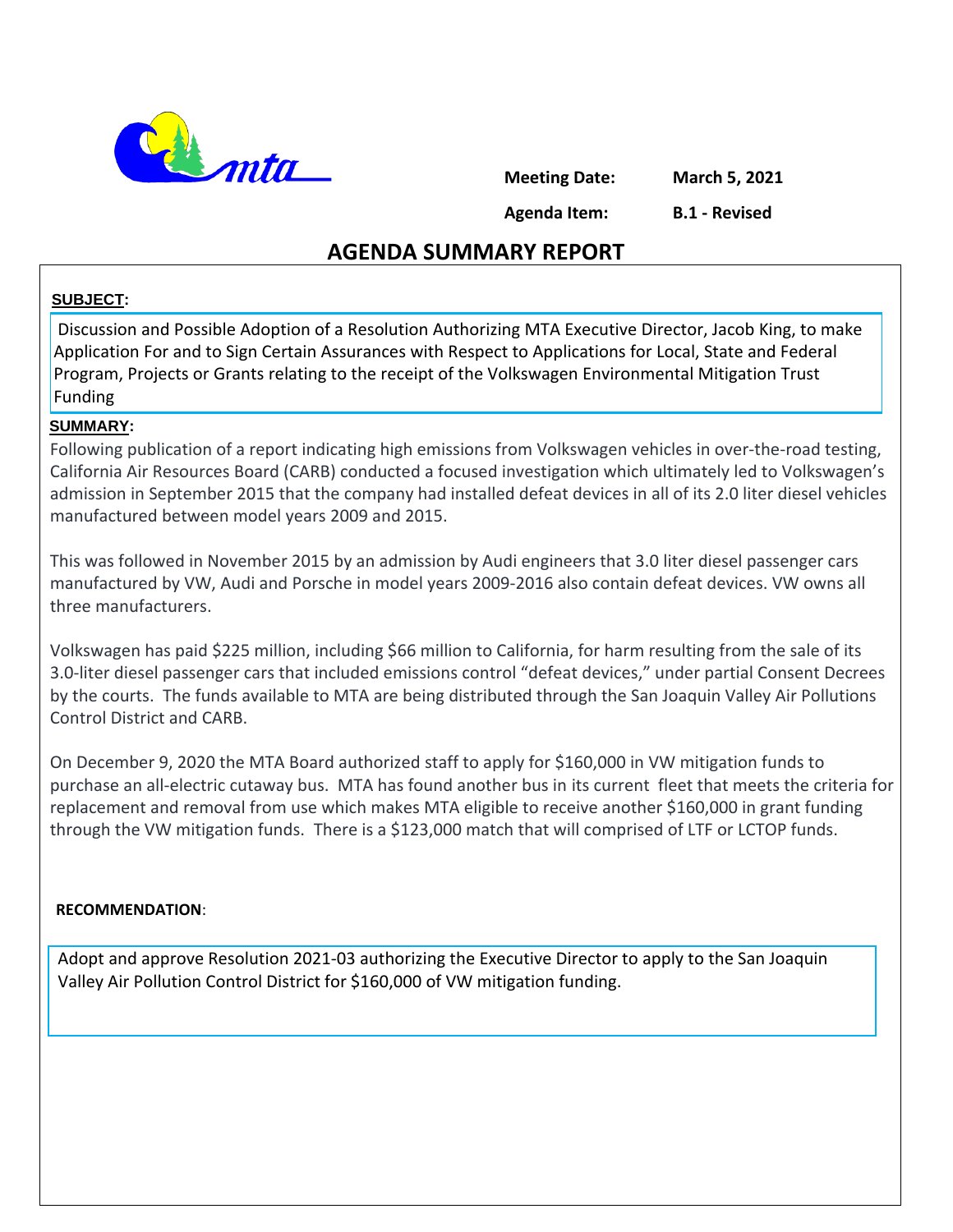

**Meeting Date: March 5, 2021**

**Agenda Item:** 

**B.1 - Revised**

## **AGENDA SUMMARY REPORT**

#### **SUBJECT:**

Discussion and Possible Adoption of a Resolution Authorizing MTA Executive Director, Jacob King, to make Application For and to Sign Certain Assurances with Respect to Applications for Local, State and Federal Program, Projects or Grants relating to the receipt of the Volkswagen Environmental Mitigation Trust Funding

#### **SUMMARY:**

Following publication of a report indicating high emissions from Volkswagen vehicles in over-the-road testing, California Air Resources Board (CARB) conducted a focused investigation which ultimately led to Volkswagen's admission in September 2015 that the company had installed defeat devices in all of its 2.0 liter diesel vehicles manufactured between model years 2009 and 2015.

This was followed in November 2015 by an admission by Audi engineers that 3.0 liter diesel passenger cars manufactured by VW, Audi and Porsche in model years 2009-2016 also contain defeat devices. VW owns all three manufacturers.

Volkswagen has paid \$225 million, including \$66 million to California, for harm resulting from the sale of its 3.0-liter diesel passenger cars that included emissions control "defeat devices," under partial Consent Decrees by the courts. The funds available to MTA are being distributed through the San Joaquin Valley Air Pollutions Control District and CARB.

On December 9, 2020 the MTA Board authorized staff to apply for \$160,000 in VW mitigation funds to purchase an all-electric cutaway bus. MTA has found another bus in its current fleet that meets the criteria for replacement and removal from use which makes MTA eligible to receive another \$160,000 in grant funding through the VW mitigation funds. There is a \$123,000 match that will comprised of LTF or LCTOP funds.

#### **RECOMMENDATION**:

Adopt and approve Resolution 2021-03 authorizing the Executive Director to apply to the San Joaquin Valley Air Pollution Control District for \$160,000 of VW mitigation funding.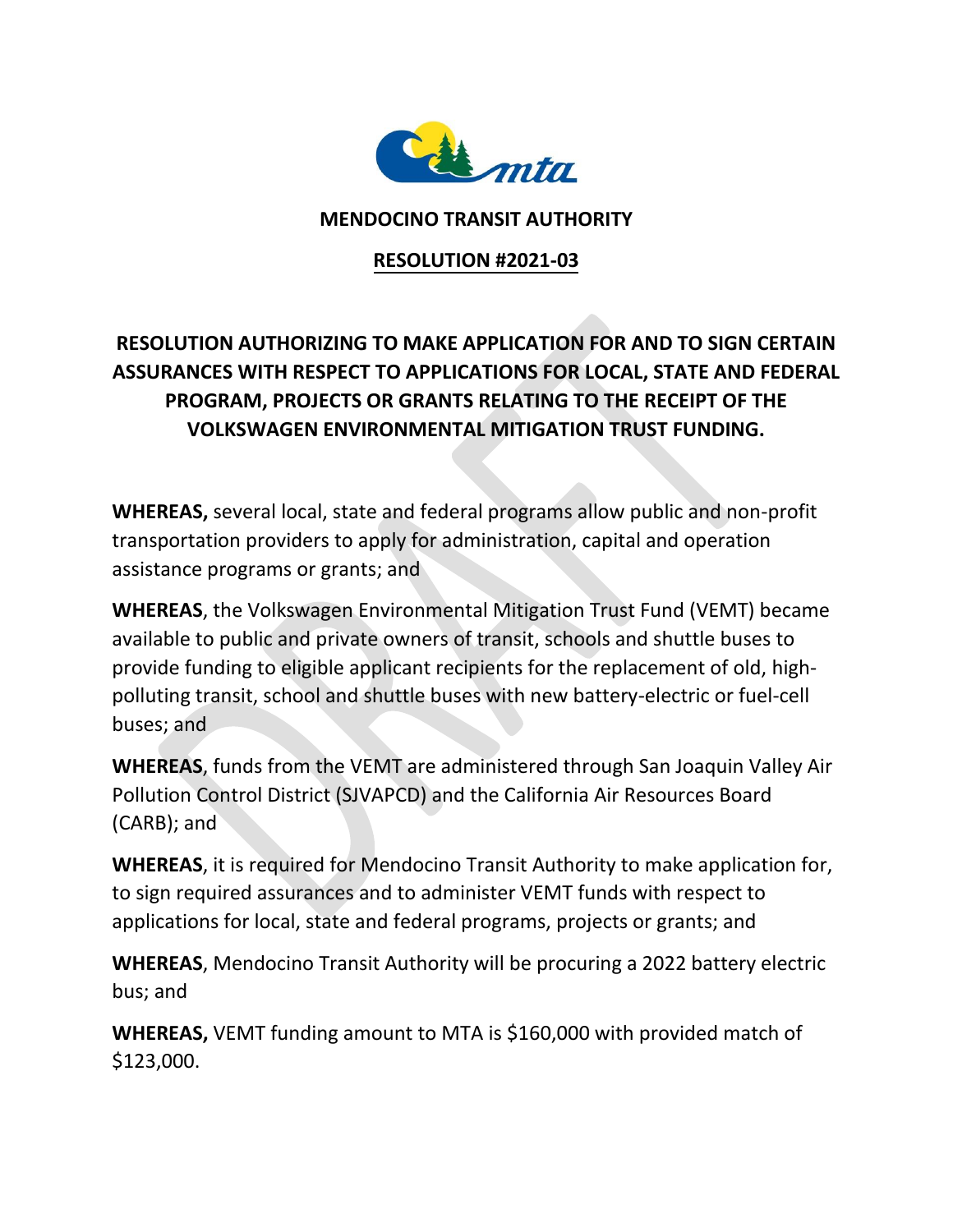

### **MENDOCINO TRANSIT AUTHORITY**

## **RESOLUTION #2021-03**

# **RESOLUTION AUTHORIZING TO MAKE APPLICATION FOR AND TO SIGN CERTAIN ASSURANCES WITH RESPECT TO APPLICATIONS FOR LOCAL, STATE AND FEDERAL PROGRAM, PROJECTS OR GRANTS RELATING TO THE RECEIPT OF THE VOLKSWAGEN ENVIRONMENTAL MITIGATION TRUST FUNDING.**

**WHEREAS,** several local, state and federal programs allow public and non-profit transportation providers to apply for administration, capital and operation assistance programs or grants; and

**WHEREAS**, the Volkswagen Environmental Mitigation Trust Fund (VEMT) became available to public and private owners of transit, schools and shuttle buses to provide funding to eligible applicant recipients for the replacement of old, highpolluting transit, school and shuttle buses with new battery-electric or fuel-cell buses; and

**WHEREAS**, funds from the VEMT are administered through San Joaquin Valley Air Pollution Control District (SJVAPCD) and the California Air Resources Board (CARB); and

**WHEREAS**, it is required for Mendocino Transit Authority to make application for, to sign required assurances and to administer VEMT funds with respect to applications for local, state and federal programs, projects or grants; and

**WHEREAS**, Mendocino Transit Authority will be procuring a 2022 battery electric bus; and

**WHEREAS,** VEMT funding amount to MTA is \$160,000 with provided match of \$123,000.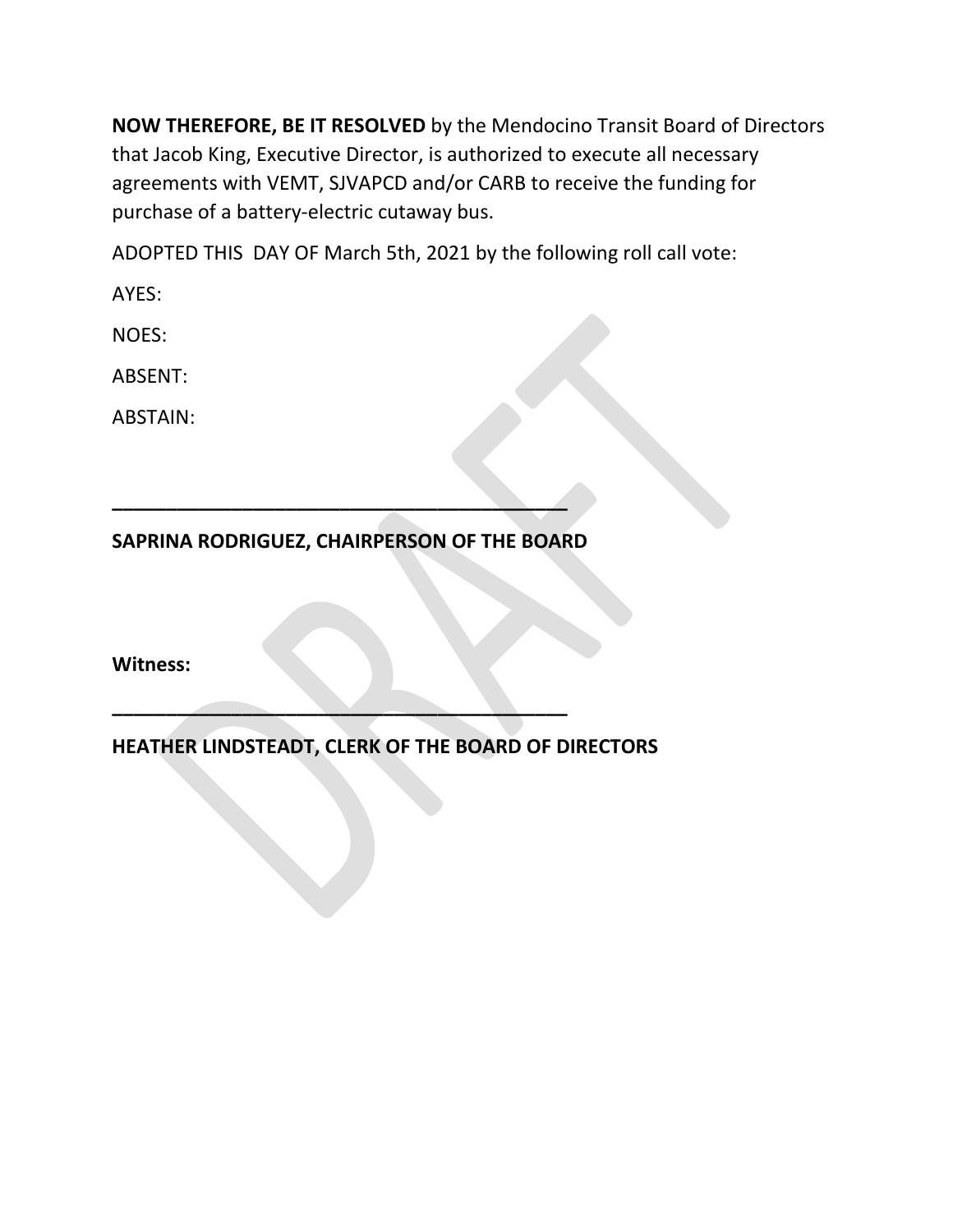**NOW THEREFORE, BE IT RESOLVED** by the Mendocino Transit Board of Directors that Jacob King, Executive Director, is authorized to execute all necessary agreements with VEMT, SJVAPCD and/or CARB to receive the funding for purchase of a battery-electric cutaway bus.

ADOPTED THIS DAY OF March 5th, 2021 by the following roll call vote:

AYES:

NOES:

ABSENT:

ABSTAIN:

**SAPRINA RODRIGUEZ, CHAIRPERSON OF THE BOARD**

**\_\_\_\_\_\_\_\_\_\_\_\_\_\_\_\_\_\_\_\_\_\_\_\_\_\_\_\_\_\_\_\_\_\_\_\_\_\_\_\_\_\_**

**\_\_\_\_\_\_\_\_\_\_\_\_\_\_\_\_\_\_\_\_\_\_\_\_\_\_\_\_\_\_\_\_\_\_\_\_\_\_\_\_\_\_**

**Witness:**

**HEATHER LINDSTEADT, CLERK OF THE BOARD OF DIRECTORS**